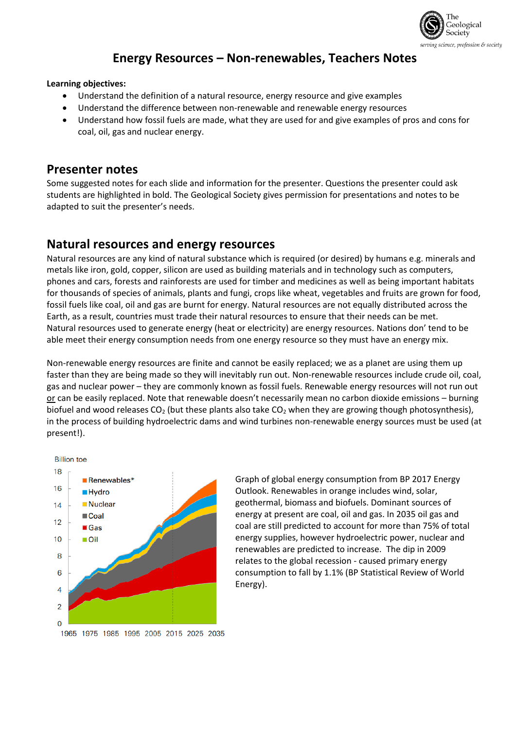

# **Energy Resources – Non-renewables, Teachers Notes**

### **Learning objectives:**

- Understand the definition of a natural resource, energy resource and give examples
- Understand the difference between non-renewable and renewable energy resources
- Understand how fossil fuels are made, what they are used for and give examples of pros and cons for coal, oil, gas and nuclear energy.

## **Presenter notes**

Some suggested notes for each slide and information for the presenter. Questions the presenter could ask students are highlighted in bold. The Geological Society gives permission for presentations and notes to be adapted to suit the presenter's needs.

## **Natural resources and energy resources**

Natural resources are any kind of natural substance which is required (or desired) by humans e.g. minerals and metals like iron, gold, copper, silicon are used as building materials and in technology such as computers, phones and cars, forests and rainforests are used for timber and medicines as well as being important habitats for thousands of species of animals, plants and fungi, crops like wheat, vegetables and fruits are grown for food, fossil fuels like coal, oil and gas are burnt for energy. Natural resources are not equally distributed across the Earth, as a result, countries must trade their natural resources to ensure that their needs can be met. Natural resources used to generate energy (heat or electricity) are energy resources. Nations don' tend to be able meet their energy consumption needs from one energy resource so they must have an energy mix.

Non-renewable energy resources are finite and cannot be easily replaced; we as a planet are using them up faster than they are being made so they will inevitably run out. Non-renewable resources include crude oil, coal, gas and nuclear power – they are commonly known as fossil fuels. Renewable energy resources will not run out or can be easily replaced. Note that renewable doesn't necessarily mean no carbon dioxide emissions – burning biofuel and wood releases CO<sub>2</sub> (but these plants also take CO<sub>2</sub> when they are growing though photosynthesis), in the process of building hydroelectric dams and wind turbines non-renewable energy sources must be used (at present!).



Graph of global energy consumption from BP 2017 Energy Outlook. Renewables in orange includes wind, solar, geothermal, biomass and biofuels. Dominant sources of energy at present are coal, oil and gas. In 2035 oil gas and coal are still predicted to account for more than 75% of total energy supplies, however hydroelectric power, nuclear and renewables are predicted to increase. The dip in 2009 relates to the global recession - caused primary energy consumption to fall by 1.1% (BP Statistical Review of World Energy).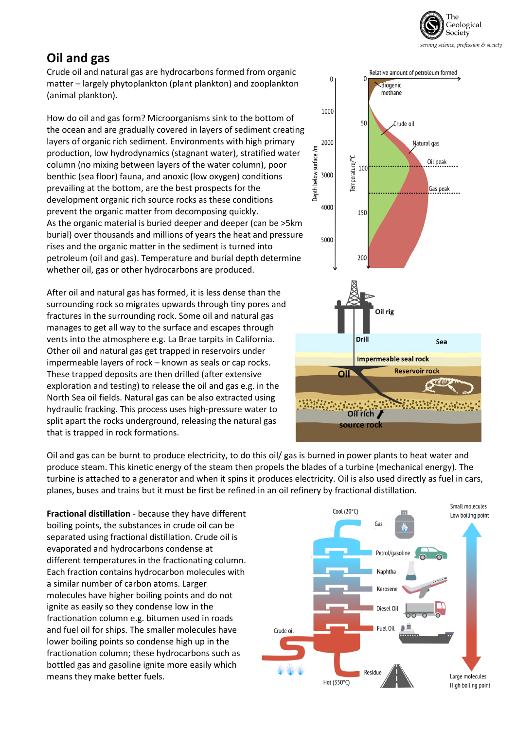

# **Oil and gas**

Crude oil and natural gas are hydrocarbons formed from organic matter – largely phytoplankton (plant plankton) and zooplankton (animal plankton).

How do oil and gas form? Microorganisms sink to the bottom of the ocean and are gradually covered in layers of sediment creating layers of organic rich sediment. Environments with high primary production, low hydrodynamics (stagnant water), stratified water column (no mixing between layers of the water column), poor benthic (sea floor) fauna, and anoxic (low oxygen) conditions prevailing at the bottom, are the best prospects for the development organic rich source rocks as these conditions prevent the organic matter from decomposing quickly. As the organic material is buried deeper and deeper (can be >5km burial) over thousands and millions of years the heat and pressure rises and the organic matter in the sediment is turned into petroleum (oil and gas). Temperature and burial depth determine whether oil, gas or other hydrocarbons are produced.

After oil and natural gas has formed, it is less dense than the surrounding rock so migrates upwards through tiny pores and fractures in the surrounding rock. Some oil and natural gas manages to get all way to the surface and escapes through vents into the atmosphere e.g. La Brae tarpits in California. Other oil and natural gas get trapped in reservoirs under impermeable layers of rock – known as seals or cap rocks. These trapped deposits are then drilled (after extensive exploration and testing) to release the oil and gas e.g. in the North Sea oil fields. Natural gas can be also extracted using hydraulic fracking. This process uses high-pressure water to split apart the rocks underground, releasing the natural gas that is trapped in rock formations.



Oil and gas can be burnt to produce electricity, to do this oil/ gas is burned in power plants to heat water and produce steam. This kinetic energy of the steam then propels the blades of a turbine (mechanical energy). The turbine is attached to a generator and when it spins it produces electricity. Oil is also used directly as fuel in cars, planes, buses and trains but it must be first be refined in an oil refinery by fractional distillation.

**Fractional distillation** - because they have different boiling points, the substances in crude oil can be separated using fractional distillation. Crude oil is evaporated and hydrocarbons condense at different temperatures in the fractionating column. Each fraction contains hydrocarbon molecules with a similar number of carbon atoms. Larger molecules have higher boiling points and do not ignite as easily so they condense low in the fractionation column e.g. bitumen used in roads and fuel oil for ships. The smaller molecules have lower boiling points so condense high up in the fractionation column; these hydrocarbons such as bottled gas and gasoline ignite more easily which means they make better fuels.

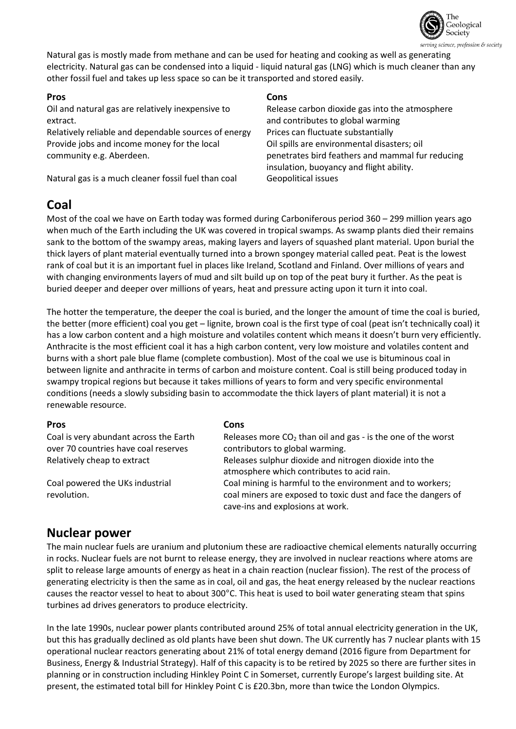

Natural gas is mostly made from methane and can be used for heating and cooking as well as generating electricity. Natural gas can be condensed into a liquid - liquid natural gas (LNG) which is much cleaner than any other fossil fuel and takes up less space so can be it transported and stored easily.

Oil and natural gas are relatively inexpensive to extract.

Relatively reliable and dependable sources of energy Prices can fluctuate substantially Provide jobs and income money for the local community e.g. Aberdeen.

Natural gas is a much cleaner fossil fuel than coal Geopolitical issues

## **Pros Cons**

Release carbon dioxide gas into the atmosphere and contributes to global warming Oil spills are environmental disasters; oil penetrates bird feathers and mammal fur reducing insulation, buoyancy and flight ability.

# **Coal**

Most of the coal we have on Earth today was formed during Carboniferous period 360 – 299 million years ago when much of the Earth including the UK was covered in tropical swamps. As swamp plants died their remains sank to the bottom of the swampy areas, making layers and layers of squashed plant material. Upon burial the thick layers of plant material eventually turned into a brown spongey material called peat. Peat is the lowest rank of coal but it is an important fuel in places like Ireland, Scotland and Finland. Over millions of years and with changing environments layers of mud and silt build up on top of the peat bury it further. As the peat is buried deeper and deeper over millions of years, heat and pressure acting upon it turn it into coal.

The hotter the temperature, the deeper the coal is buried, and the longer the amount of time the coal is buried, the better (more efficient) coal you get – lignite, brown coal is the first type of coal (peat isn't technically coal) it has a low carbon content and a high moisture and volatiles content which means it doesn't burn very efficiently. Anthracite is the most efficient coal it has a high carbon content, very low moisture and volatiles content and burns with a short pale blue flame (complete combustion). Most of the coal we use is bituminous coal in between lignite and anthracite in terms of carbon and moisture content. Coal is still being produced today in swampy tropical regions but because it takes millions of years to form and very specific environmental conditions (needs a slowly subsiding basin to accommodate the thick layers of plant material) it is not a renewable resource.

Coal is very abundant across the Earth over 70 countries have coal reserves

Coal powered the UKs industrial revolution.

### **Pros Cons**

Releases more  $CO<sub>2</sub>$  than oil and gas - is the one of the worst contributors to global warming. Relatively cheap to extract Releases sulphur dioxide and nitrogen dioxide into the atmosphere which contributes to acid rain. Coal mining is harmful to the environment and to workers; coal miners are exposed to toxic dust and face the dangers of cave-ins and explosions at work.

## **Nuclear power**

The main nuclear fuels are uranium and plutonium these are radioactive chemical elements naturally occurring in rocks. Nuclear fuels are not burnt to release energy, they are involved in nuclear reactions where atoms are split to release large amounts of energy as heat in a chain reaction (nuclear fission). The rest of the process of generating electricity is then the same as in coal, oil and gas, the heat energy released by the nuclear reactions causes the reactor vessel to heat to about 300°C. This heat is used to boil water generating steam that spins turbines ad drives generators to produce electricity.

In the late 1990s, nuclear power plants contributed around 25% of total annual electricity generation in the UK, but this has gradually declined as old plants have been shut down. The UK currently has 7 nuclear plants with 15 operational nuclear reactors generating about 21% of total energy demand (2016 figure from Department for Business, Energy & Industrial Strategy). Half of this capacity is to be retired by 2025 so there are further sites in planning or in construction including Hinkley Point C in Somerset, currently Europe's largest building site. At present, the estimated total bill for Hinkley Point C is £20.3bn, more than twice the London Olympics.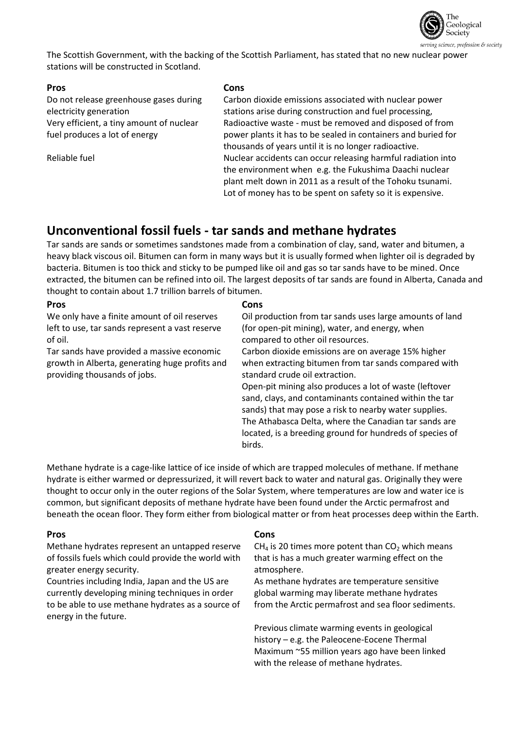

The Scottish Government, with the backing of the Scottish Parliament, has stated that no new nuclear power stations will be constructed in Scotland.

Do not release greenhouse gases during electricity generation Very efficient, a tiny amount of nuclear fuel produces a lot of energy

## **Pros Cons**

Carbon dioxide emissions associated with nuclear power stations arise during construction and fuel processing, Radioactive waste - must be removed and disposed of from power plants it has to be sealed in containers and buried for thousands of years until it is no longer radioactive. Reliable fuel Nuclear accidents can occur releasing harmful radiation into the environment when e.g. the Fukushima Daachi nuclear plant melt down in 2011 as a result of the Tohoku tsunami. Lot of money has to be spent on safety so it is expensive.

## **Unconventional fossil fuels - tar sands and methane hydrates**

Tar sands are sands or sometimes sandstones made from a combination of clay, sand, water and bitumen, a heavy black viscous oil. Bitumen can form in many ways but it is usually formed when lighter oil is degraded by bacteria. Bitumen is too thick and sticky to be pumped like oil and gas so tar sands have to be mined. Once extracted, the bitumen can be refined into oil. The largest deposits of tar sands are found in Alberta, Canada and thought to contain about 1.7 trillion barrels of bitumen.

## **Pros Cons**

We only have a finite amount of oil reserves left to use, tar sands represent a vast reserve of oil.

Tar sands have provided a massive economic growth in Alberta, generating huge profits and providing thousands of jobs.

Oil production from tar sands uses large amounts of land (for open-pit mining), water, and energy, when compared to other oil resources.

Carbon dioxide emissions are on average 15% higher when extracting bitumen from tar sands compared with standard crude oil extraction.

Open-pit mining also produces a lot of waste (leftover sand, clays, and contaminants contained within the tar sands) that may pose a risk to nearby water supplies. The Athabasca Delta, where the Canadian tar sands are located, is a breeding ground for hundreds of species of birds.

Methane hydrate is a cage-like lattice of ice inside of which are trapped molecules of methane. If methane hydrate is either warmed or depressurized, it will revert back to water and natural gas. Originally they were thought to occur only in the outer regions of the Solar System, where temperatures are low and water ice is common, but significant deposits of methane hydrate have been found under the Arctic permafrost and beneath the ocean floor. They form either from biological matter or from heat processes deep within the Earth.

Methane hydrates represent an untapped reserve of fossils fuels which could provide the world with greater energy security.

Countries including India, Japan and the US are currently developing mining techniques in order to be able to use methane hydrates as a source of energy in the future.

### **Pros Cons**

 $CH<sub>4</sub>$  is 20 times more potent than  $CO<sub>2</sub>$  which means that is has a much greater warming effect on the atmosphere.

As methane hydrates are temperature sensitive global warming may liberate methane hydrates from the Arctic permafrost and sea floor sediments.

Previous climate warming events in geological history – e.g. the Paleocene-Eocene Thermal Maximum ~55 million years ago have been linked with the release of methane hydrates.